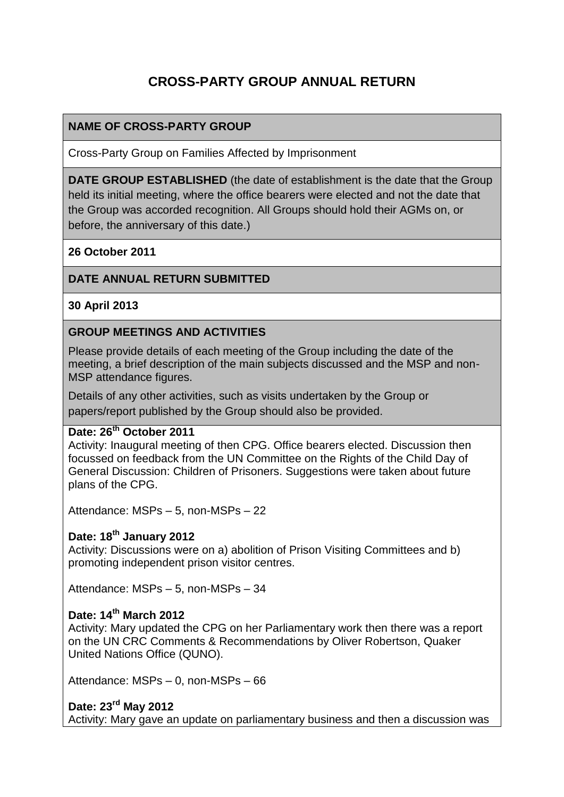# **CROSS-PARTY GROUP ANNUAL RETURN**

### **NAME OF CROSS-PARTY GROUP**

Cross-Party Group on Families Affected by Imprisonment

**DATE GROUP ESTABLISHED** (the date of establishment is the date that the Group held its initial meeting, where the office bearers were elected and not the date that the Group was accorded recognition. All Groups should hold their AGMs on, or before, the anniversary of this date.)

#### **26 October 2011**

#### **DATE ANNUAL RETURN SUBMITTED**

#### **30 April 2013**

#### **GROUP MEETINGS AND ACTIVITIES**

Please provide details of each meeting of the Group including the date of the meeting, a brief description of the main subjects discussed and the MSP and non-MSP attendance figures.

Details of any other activities, such as visits undertaken by the Group or papers/report published by the Group should also be provided.

#### **Date: 26th October 2011**

Activity: Inaugural meeting of then CPG. Office bearers elected. Discussion then focussed on feedback from the UN Committee on the Rights of the Child Day of General Discussion: Children of Prisoners. Suggestions were taken about future plans of the CPG.

Attendance: MSPs – 5, non-MSPs – 22

### **Date: 18th January 2012**

Activity: Discussions were on a) abolition of Prison Visiting Committees and b) promoting independent prison visitor centres.

Attendance: MSPs – 5, non-MSPs – 34

#### **Date: 14th March 2012**

Activity: Mary updated the CPG on her Parliamentary work then there was a report on the UN CRC Comments & Recommendations by Oliver Robertson, Quaker United Nations Office (QUNO).

Attendance: MSPs – 0, non-MSPs – 66

#### **Date: 23rd May 2012**

Activity: Mary gave an update on parliamentary business and then a discussion was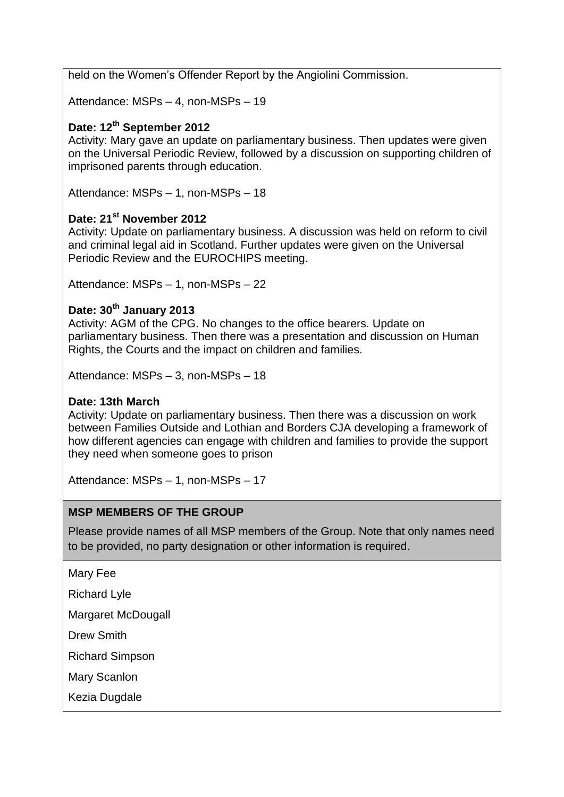held on the Women's Offender Report by the Angiolini Commission.

Attendance: MSPs – 4, non-MSPs – 19

### **Date: 12th September 2012**

Activity: Mary gave an update on parliamentary business. Then updates were given on the Universal Periodic Review, followed by a discussion on supporting children of imprisoned parents through education.

Attendance: MSPs – 1, non-MSPs – 18

### **Date: 21st November 2012**

Activity: Update on parliamentary business. A discussion was held on reform to civil and criminal legal aid in Scotland. Further updates were given on the Universal Periodic Review and the EUROCHIPS meeting.

Attendance: MSPs – 1, non-MSPs – 22

### **Date: 30th January 2013**

Activity: AGM of the CPG. No changes to the office bearers. Update on parliamentary business. Then there was a presentation and discussion on Human Rights, the Courts and the impact on children and families.

Attendance: MSPs – 3, non-MSPs – 18

#### **Date: 13th March**

Activity: Update on parliamentary business. Then there was a discussion on work between Families Outside and Lothian and Borders CJA developing a framework of how different agencies can engage with children and families to provide the support they need when someone goes to prison

Attendance: MSPs – 1, non-MSPs – 17

### **MSP MEMBERS OF THE GROUP**

Please provide names of all MSP members of the Group. Note that only names need to be provided, no party designation or other information is required.

Mary Fee

Richard Lyle

Margaret McDougall

Drew Smith

Richard Simpson

Mary Scanlon

Kezia Dugdale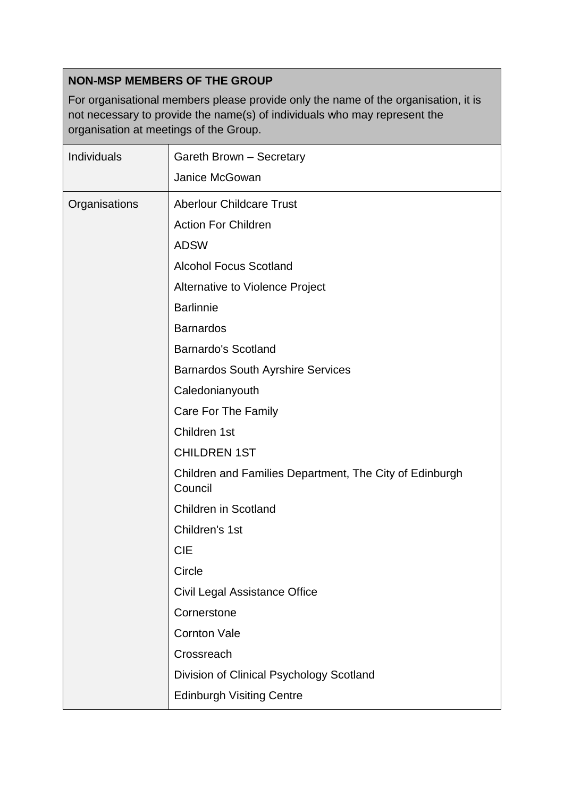# **NON-MSP MEMBERS OF THE GROUP**

For organisational members please provide only the name of the organisation, it is not necessary to provide the name(s) of individuals who may represent the organisation at meetings of the Group.

| Individuals   | Gareth Brown - Secretary                                           |
|---------------|--------------------------------------------------------------------|
|               | Janice McGowan                                                     |
| Organisations | <b>Aberlour Childcare Trust</b>                                    |
|               | <b>Action For Children</b>                                         |
|               | <b>ADSW</b>                                                        |
|               | <b>Alcohol Focus Scotland</b>                                      |
|               | Alternative to Violence Project                                    |
|               | <b>Barlinnie</b>                                                   |
|               | <b>Barnardos</b>                                                   |
|               | <b>Barnardo's Scotland</b>                                         |
|               | <b>Barnardos South Ayrshire Services</b>                           |
|               | Caledonianyouth                                                    |
|               | Care For The Family                                                |
|               | Children 1st                                                       |
|               | <b>CHILDREN 1ST</b>                                                |
|               | Children and Families Department, The City of Edinburgh<br>Council |
|               | <b>Children in Scotland</b>                                        |
|               | Children's 1st                                                     |
|               | <b>CIE</b>                                                         |
|               | Circle                                                             |
|               | Civil Legal Assistance Office                                      |
|               | Cornerstone                                                        |
|               | <b>Cornton Vale</b>                                                |
|               | Crossreach                                                         |
|               | Division of Clinical Psychology Scotland                           |
|               | <b>Edinburgh Visiting Centre</b>                                   |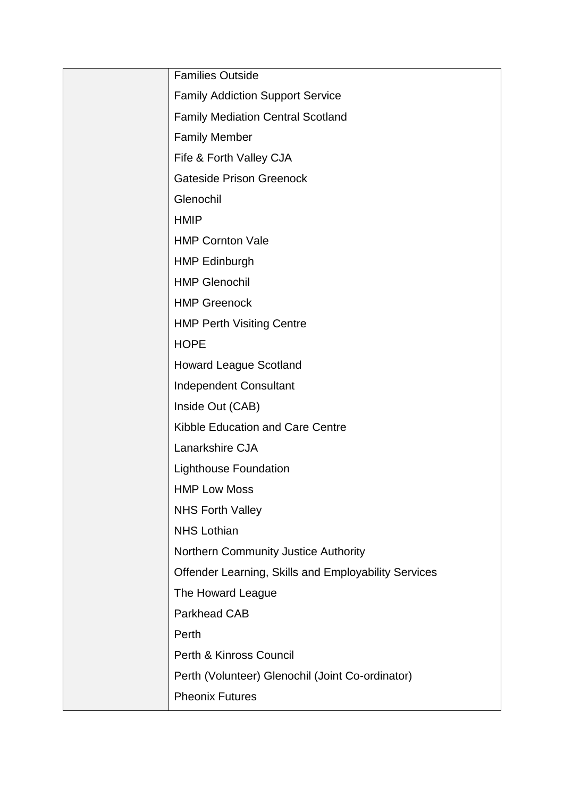| <b>Families Outside</b>                              |
|------------------------------------------------------|
| <b>Family Addiction Support Service</b>              |
| <b>Family Mediation Central Scotland</b>             |
| <b>Family Member</b>                                 |
| Fife & Forth Valley CJA                              |
| <b>Gateside Prison Greenock</b>                      |
| Glenochil                                            |
| <b>HMIP</b>                                          |
| <b>HMP Cornton Vale</b>                              |
| <b>HMP Edinburgh</b>                                 |
| <b>HMP Glenochil</b>                                 |
| <b>HMP Greenock</b>                                  |
| <b>HMP Perth Visiting Centre</b>                     |
| <b>HOPE</b>                                          |
| <b>Howard League Scotland</b>                        |
| <b>Independent Consultant</b>                        |
| Inside Out (CAB)                                     |
| Kibble Education and Care Centre                     |
| Lanarkshire CJA                                      |
| <b>Lighthouse Foundation</b>                         |
| <b>HMP Low Moss</b>                                  |
| <b>NHS Forth Valley</b>                              |
| <b>NHS Lothian</b>                                   |
| Northern Community Justice Authority                 |
| Offender Learning, Skills and Employability Services |
| The Howard League                                    |
| <b>Parkhead CAB</b>                                  |
| Perth                                                |
| Perth & Kinross Council                              |
| Perth (Volunteer) Glenochil (Joint Co-ordinator)     |
| <b>Pheonix Futures</b>                               |
|                                                      |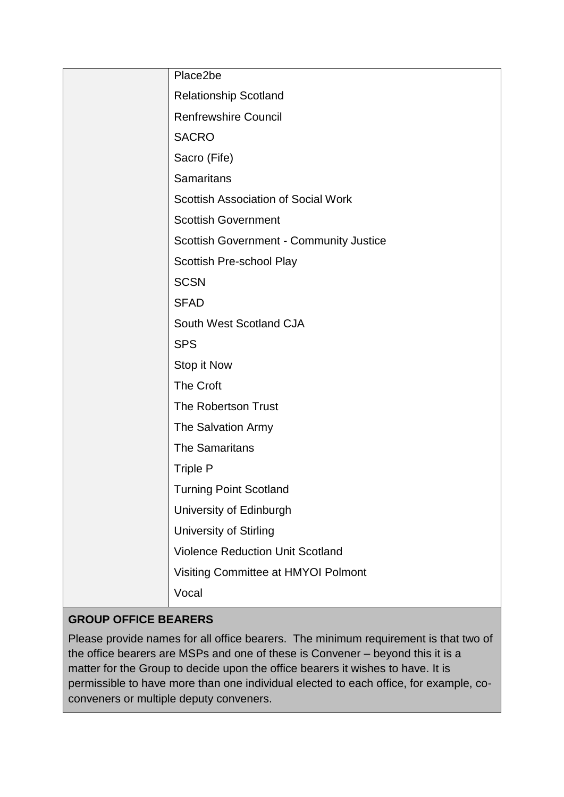| Place2be                                       |
|------------------------------------------------|
| <b>Relationship Scotland</b>                   |
| <b>Renfrewshire Council</b>                    |
| <b>SACRO</b>                                   |
| Sacro (Fife)                                   |
| <b>Samaritans</b>                              |
| <b>Scottish Association of Social Work</b>     |
| <b>Scottish Government</b>                     |
| <b>Scottish Government - Community Justice</b> |
| Scottish Pre-school Play                       |
| <b>SCSN</b>                                    |
| <b>SFAD</b>                                    |
| South West Scotland CJA                        |
| <b>SPS</b>                                     |
| Stop it Now                                    |
| The Croft                                      |
| The Robertson Trust                            |
| The Salvation Army                             |
| <b>The Samaritans</b>                          |
| <b>Triple P</b>                                |
| <b>Turning Point Scotland</b>                  |
| University of Edinburgh                        |
| University of Stirling                         |
| <b>Violence Reduction Unit Scotland</b>        |
| Visiting Committee at HMYOI Polmont            |
| Vocal                                          |

# **GROUP OFFICE BEARERS**

Please provide names for all office bearers. The minimum requirement is that two of the office bearers are MSPs and one of these is Convener – beyond this it is a matter for the Group to decide upon the office bearers it wishes to have. It is permissible to have more than one individual elected to each office, for example, coconveners or multiple deputy conveners.